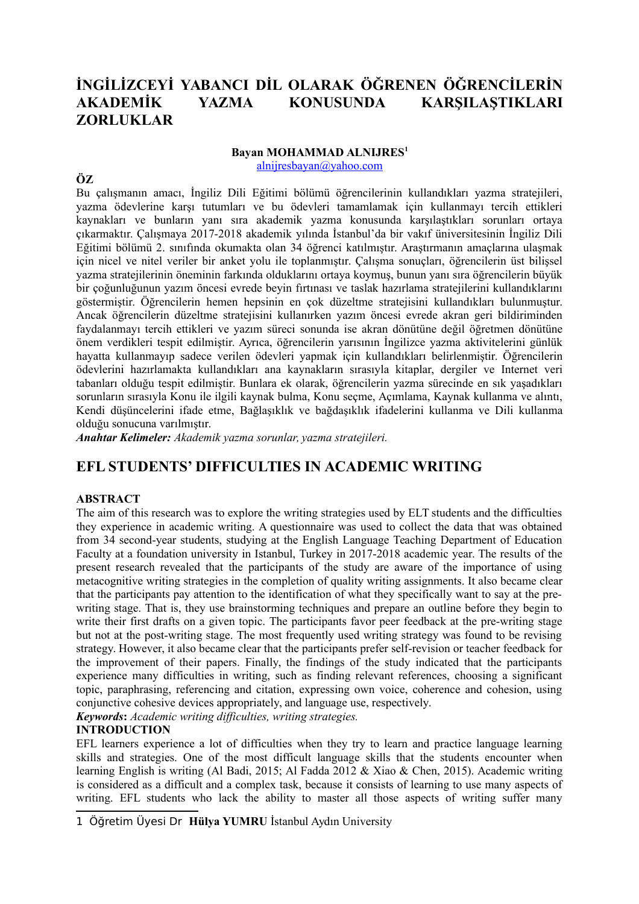# **İNGİLİZCEYİ YABANCI DİL OLARAK ÖĞRENEN ÖĞRENCİLERİN AKADEMİK YAZMA KONUSUNDA KARŞILAŞTIKLARI ZORLUKLAR**

### **Bayan MOHAMMAD ALNIJRES[1](#page-0-0)**

[alnijresbayan@yahoo.com](mailto:alnijresbayan@yahoo.com)

## **ÖZ**

Bu çalışmanın amacı, İngiliz Dili Eğitimi bölümü öğrencilerinin kullandıkları yazma stratejileri, yazma ödevlerine karşı tutumları ve bu ödevleri tamamlamak için kullanmayı tercih ettikleri kaynakları ve bunların yanı sıra akademik yazma konusunda karşılaştıkları sorunları ortaya çıkarmaktır. Çalışmaya 2017-2018 akademik yılında İstanbul'da bir vakıf üniversitesinin İngiliz Dili Eğitimi bölümü 2. sınıfında okumakta olan 34 öğrenci katılmıştır. Araştırmanın amaçlarına ulaşmak için nicel ve nitel veriler bir anket yolu ile toplanmıştır. Çalışma sonuçları, öğrencilerin üst bilişsel yazma stratejilerinin öneminin farkında olduklarını ortaya koymuş, bunun yanı sıra öğrencilerin büyük bir çoğunluğunun yazım öncesi evrede beyin fırtınası ve taslak hazırlama stratejilerini kullandıklarını göstermiştir. Öğrencilerin hemen hepsinin en çok düzeltme stratejisini kullandıkları bulunmuştur. Ancak öğrencilerin düzeltme stratejisini kullanırken yazım öncesi evrede akran geri bildiriminden faydalanmayı tercih ettikleri ve yazım süreci sonunda ise akran dönütüne değil öğretmen dönütüne önem verdikleri tespit edilmiştir. Ayrıca, öğrencilerin yarısının İngilizce yazma aktivitelerini günlük hayatta kullanmayıp sadece verilen ödevleri yapmak için kullandıkları belirlenmiştir. Öğrencilerin ödevlerini hazırlamakta kullandıkları ana kaynakların sırasıyla kitaplar, dergiler ve Internet veri tabanları olduğu tespit edilmiştir. Bunlara ek olarak, öğrencilerin yazma sürecinde en sık yaşadıkları sorunların sırasıyla Konu ile ilgili kaynak bulma, Konu seçme, Açımlama, Kaynak kullanma ve alıntı, Kendi düşüncelerini ifade etme, Bağlaşıklık ve bağdaşıklık ifadelerini kullanma ve Dili kullanma olduğu sonucuna varılmıştır.

*Anahtar Kelimeler: Akademik yazma sorunlar, yazma stratejileri.* 

## **EFL STUDENTS' DIFFICULTIES IN ACADEMIC WRITING**

#### **ABSTRACT**

The aim of this research was to explore the writing strategies used by ELT students and the difficulties they experience in academic writing. A questionnaire was used to collect the data that was obtained from 34 second-year students, studying at the English Language Teaching Department of Education Faculty at a foundation university in Istanbul, Turkey in 2017-2018 academic year. The results of the present research revealed that the participants of the study are aware of the importance of using metacognitive writing strategies in the completion of quality writing assignments. It also became clear that the participants pay attention to the identification of what they specifically want to say at the prewriting stage. That is, they use brainstorming techniques and prepare an outline before they begin to write their first drafts on a given topic. The participants favor peer feedback at the pre-writing stage but not at the post-writing stage. The most frequently used writing strategy was found to be revising strategy. However, it also became clear that the participants prefer self-revision or teacher feedback for the improvement of their papers. Finally, the findings of the study indicated that the participants experience many difficulties in writing, such as finding relevant references, choosing a significant topic, paraphrasing, referencing and citation, expressing own voice, coherence and cohesion, using conjunctive cohesive devices appropriately, and language use, respectively.

*Keywords***:** *Academic writing difficulties, writing strategies.* 

#### **INTRODUCTION**

EFL learners experience a lot of difficulties when they try to learn and practice language learning skills and strategies. One of the most difficult language skills that the students encounter when learning English is writing (Al Badi, 2015; Al Fadda 2012 & Xiao & Chen, 2015). Academic writing is considered as a difficult and a complex task, because it consists of learning to use many aspects of writing. EFL students who lack the ability to master all those aspects of writing suffer many

<span id="page-0-0"></span><sup>1</sup> Öğretim Üyesi Dr **Hülya YUMRU** İstanbul Aydın University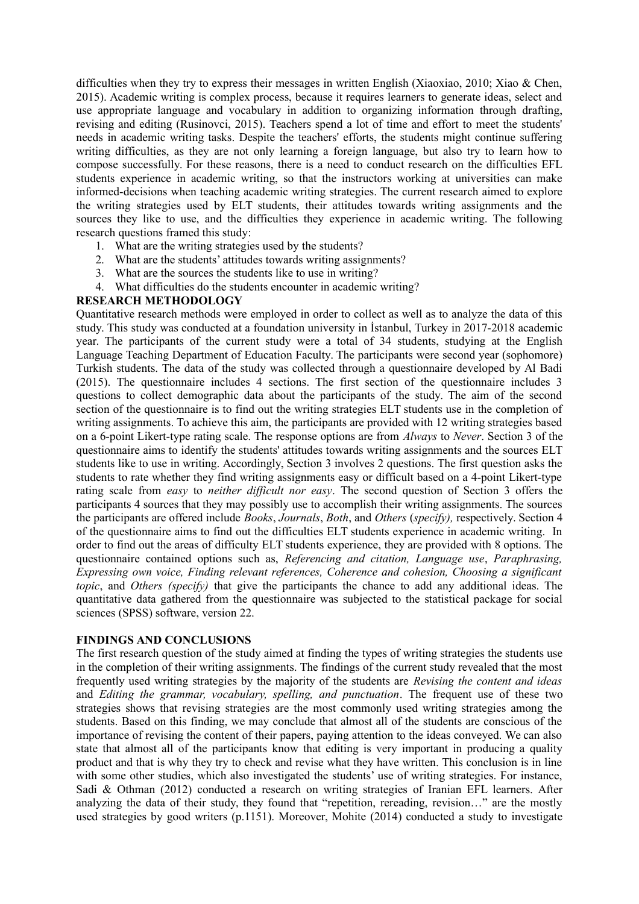difficulties when they try to express their messages in written English (Xiaoxiao, 2010; Xiao & Chen, 2015). Academic writing is complex process, because it requires learners to generate ideas, select and use appropriate language and vocabulary in addition to organizing information through drafting, revising and editing (Rusinovci, 2015). Teachers spend a lot of time and effort to meet the students' needs in academic writing tasks. Despite the teachers' efforts, the students might continue suffering writing difficulties, as they are not only learning a foreign language, but also try to learn how to compose successfully. For these reasons, there is a need to conduct research on the difficulties EFL students experience in academic writing, so that the instructors working at universities can make informed-decisions when teaching academic writing strategies. The current research aimed to explore the writing strategies used by ELT students, their attitudes towards writing assignments and the sources they like to use, and the difficulties they experience in academic writing. The following research questions framed this study:

- 1. What are the writing strategies used by the students?
- 2. What are the students' attitudes towards writing assignments?
- 3. What are the sources the students like to use in writing?
- 4. What difficulties do the students encounter in academic writing?

#### **RESEARCH METHODOLOGY**

Quantitative research methods were employed in order to collect as well as to analyze the data of this study. This study was conducted at a foundation university in İstanbul, Turkey in 2017-2018 academic year. The participants of the current study were a total of 34 students, studying at the English Language Teaching Department of Education Faculty. The participants were second year (sophomore) Turkish students. The data of the study was collected through a questionnaire developed by Al Badi (2015). The questionnaire includes 4 sections. The first section of the questionnaire includes 3 questions to collect demographic data about the participants of the study. The aim of the second section of the questionnaire is to find out the writing strategies ELT students use in the completion of writing assignments. To achieve this aim, the participants are provided with 12 writing strategies based on a 6-point Likert-type rating scale. The response options are from *Always* to *Never*. Section 3 of the questionnaire aims to identify the students' attitudes towards writing assignments and the sources ELT students like to use in writing. Accordingly, Section 3 involves 2 questions. The first question asks the students to rate whether they find writing assignments easy or difficult based on a 4-point Likert-type rating scale from *easy* to *neither difficult nor easy*. The second question of Section 3 offers the participants 4 sources that they may possibly use to accomplish their writing assignments. The sources the participants are offered include *Books*, *Journals*, *Both*, and *Others* (*specify),* respectively. Section 4 of the questionnaire aims to find out the difficulties ELT students experience in academic writing. In order to find out the areas of difficulty ELT students experience, they are provided with 8 options. The questionnaire contained options such as, *Referencing and citation, Language use*, *Paraphrasing, Expressing own voice, Finding relevant references, Coherence and cohesion, Choosing a significant topic*, and *Others (specify)* that give the participants the chance to add any additional ideas. The quantitative data gathered from the questionnaire was subjected to the statistical package for social sciences (SPSS) software, version 22.

#### **FINDINGS AND CONCLUSIONS**

The first research question of the study aimed at finding the types of writing strategies the students use in the completion of their writing assignments. The findings of the current study revealed that the most frequently used writing strategies by the majority of the students are *Revising the content and ideas* and *Editing the grammar, vocabulary, spelling, and punctuation*. The frequent use of these two strategies shows that revising strategies are the most commonly used writing strategies among the students. Based on this finding, we may conclude that almost all of the students are conscious of the importance of revising the content of their papers, paying attention to the ideas conveyed. We can also state that almost all of the participants know that editing is very important in producing a quality product and that is why they try to check and revise what they have written. This conclusion is in line with some other studies, which also investigated the students' use of writing strategies. For instance, Sadi & Othman (2012) conducted a research on writing strategies of Iranian EFL learners. After analyzing the data of their study, they found that "repetition, rereading, revision…" are the mostly used strategies by good writers (p.1151). Moreover, Mohite (2014) conducted a study to investigate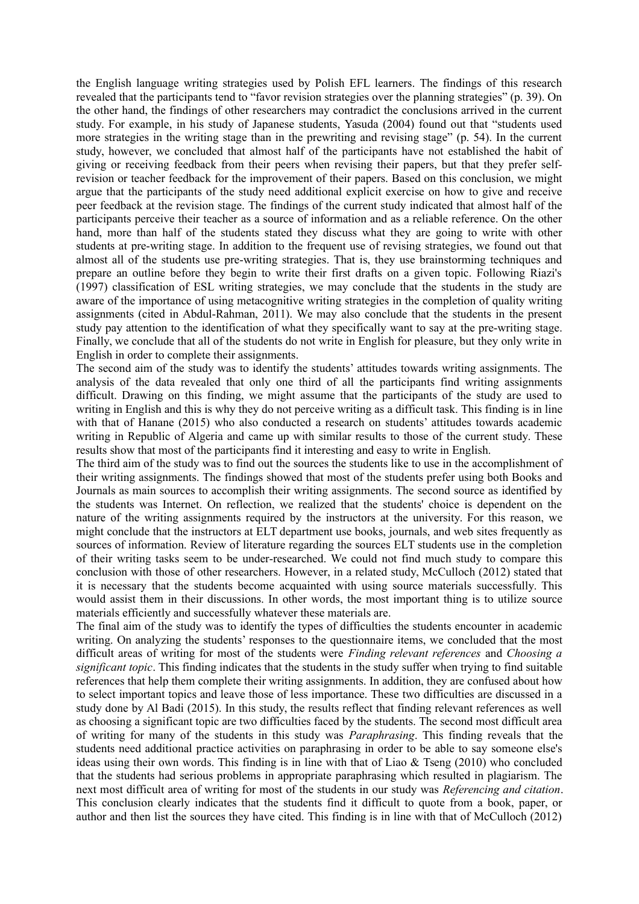the English language writing strategies used by Polish EFL learners. The findings of this research revealed that the participants tend to "favor revision strategies over the planning strategies" (p. 39). On the other hand, the findings of other researchers may contradict the conclusions arrived in the current study. For example, in his study of Japanese students, Yasuda (2004) found out that "students used more strategies in the writing stage than in the prewriting and revising stage" (p. 54). In the current study, however, we concluded that almost half of the participants have not established the habit of giving or receiving feedback from their peers when revising their papers, but that they prefer selfrevision or teacher feedback for the improvement of their papers. Based on this conclusion, we might argue that the participants of the study need additional explicit exercise on how to give and receive peer feedback at the revision stage. The findings of the current study indicated that almost half of the participants perceive their teacher as a source of information and as a reliable reference. On the other hand, more than half of the students stated they discuss what they are going to write with other students at pre-writing stage. In addition to the frequent use of revising strategies, we found out that almost all of the students use pre-writing strategies. That is, they use brainstorming techniques and prepare an outline before they begin to write their first drafts on a given topic. Following Riazi's (1997) classification of ESL writing strategies, we may conclude that the students in the study are aware of the importance of using metacognitive writing strategies in the completion of quality writing assignments (cited in Abdul-Rahman, 2011). We may also conclude that the students in the present study pay attention to the identification of what they specifically want to say at the pre-writing stage. Finally, we conclude that all of the students do not write in English for pleasure, but they only write in English in order to complete their assignments.

The second aim of the study was to identify the students' attitudes towards writing assignments. The analysis of the data revealed that only one third of all the participants find writing assignments difficult. Drawing on this finding, we might assume that the participants of the study are used to writing in English and this is why they do not perceive writing as a difficult task. This finding is in line with that of Hanane (2015) who also conducted a research on students' attitudes towards academic writing in Republic of Algeria and came up with similar results to those of the current study. These results show that most of the participants find it interesting and easy to write in English.

The third aim of the study was to find out the sources the students like to use in the accomplishment of their writing assignments. The findings showed that most of the students prefer using both Books and Journals as main sources to accomplish their writing assignments. The second source as identified by the students was Internet. On reflection, we realized that the students' choice is dependent on the nature of the writing assignments required by the instructors at the university. For this reason, we might conclude that the instructors at ELT department use books, journals, and web sites frequently as sources of information. Review of literature regarding the sources ELT students use in the completion of their writing tasks seem to be under-researched. We could not find much study to compare this conclusion with those of other researchers. However, in a related study, McCulloch (2012) stated that it is necessary that the students become acquainted with using source materials successfully. This would assist them in their discussions. In other words, the most important thing is to utilize source materials efficiently and successfully whatever these materials are.

The final aim of the study was to identify the types of difficulties the students encounter in academic writing. On analyzing the students' responses to the questionnaire items, we concluded that the most difficult areas of writing for most of the students were *Finding relevant references* and *Choosing a significant topic*. This finding indicates that the students in the study suffer when trying to find suitable references that help them complete their writing assignments. In addition, they are confused about how to select important topics and leave those of less importance. These two difficulties are discussed in a study done by Al Badi (2015). In this study, the results reflect that finding relevant references as well as choosing a significant topic are two difficulties faced by the students. The second most difficult area of writing for many of the students in this study was *Paraphrasing*. This finding reveals that the students need additional practice activities on paraphrasing in order to be able to say someone else's ideas using their own words. This finding is in line with that of Liao  $\&$  Tseng (2010) who concluded that the students had serious problems in appropriate paraphrasing which resulted in plagiarism. The next most difficult area of writing for most of the students in our study was *Referencing and citation*. This conclusion clearly indicates that the students find it difficult to quote from a book, paper, or author and then list the sources they have cited. This finding is in line with that of McCulloch (2012)